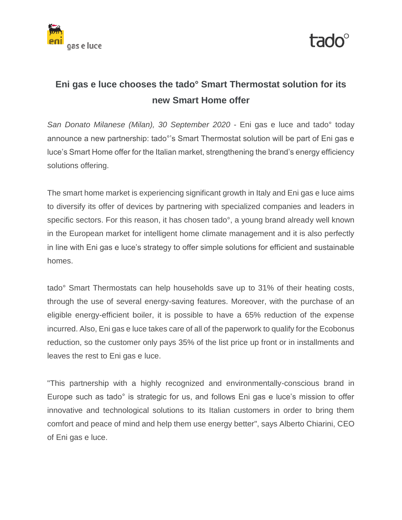



# **Eni gas e luce chooses the tado° Smart Thermostat solution for its new Smart Home offer**

*San Donato Milanese (Milan), 30 September 2020* - Eni gas e luce and tado° today announce a new partnership: tado°'s Smart Thermostat solution will be part of Eni gas e luce's Smart Home offer for the Italian market, strengthening the brand's energy efficiency solutions offering.

The smart home market is experiencing significant growth in Italy and Eni gas e luce aims to diversify its offer of devices by partnering with specialized companies and leaders in specific sectors. For this reason, it has chosen tado°, a young brand already well known in the European market for intelligent home climate management and it is also perfectly in line with Eni gas e luce's strategy to offer simple solutions for efficient and sustainable homes.

tado° Smart Thermostats can help households save up to 31% of their heating costs, through the use of several energy-saving features. Moreover, with the purchase of an eligible energy-efficient boiler, it is possible to have a 65% reduction of the expense incurred. Also, Eni gas e luce takes care of all of the paperwork to qualify for the Ecobonus reduction, so the customer only pays 35% of the list price up front or in installments and leaves the rest to Eni gas e luce.

"This partnership with a highly recognized and environmentally-conscious brand in Europe such as tado° is strategic for us, and follows Eni gas e luce's mission to offer innovative and technological solutions to its Italian customers in order to bring them comfort and peace of mind and help them use energy better", says Alberto Chiarini, CEO of Eni gas e luce.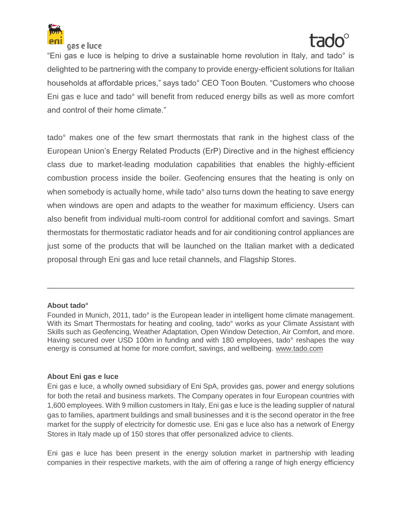

gas e luce

"Eni gas e luce is helping to drive a sustainable home revolution in Italy, and tado° is delighted to be partnering with the company to provide energy-efficient solutions for Italian households at affordable prices," says tado° CEO Toon Bouten. "Customers who choose Eni gas e luce and tado° will benefit from reduced energy bills as well as more comfort and control of their home climate."

tado° makes one of the few smart thermostats that rank in the highest class of the European Union's Energy Related Products (ErP) Directive and in the highest efficiency class due to market-leading modulation capabilities that enables the highly-efficient combustion process inside the boiler. Geofencing ensures that the heating is only on when somebody is actually home, while tado<sup>o</sup> also turns down the heating to save energy when windows are open and adapts to the weather for maximum efficiency. Users can also benefit from individual multi-room control for additional comfort and savings. Smart thermostats for thermostatic radiator heads and for air conditioning control appliances are just some of the products that will be launched on the Italian market with a dedicated proposal through Eni gas and luce retail channels, and Flagship Stores.

### **About tado°**

Founded in Munich, 2011, tado° is the European leader in intelligent home climate management. With its Smart Thermostats for heating and cooling, tado<sup>o</sup> works as your Climate Assistant with Skills such as Geofencing, Weather Adaptation, Open Window Detection, Air Comfort, and more. Having secured over USD 100m in funding and with 180 employees, tado° reshapes the way energy is consumed at home for more comfort, savings, and wellbeing. [www.tado.com](http://www.tado.com/)

## **About Eni gas e luce**

Eni gas e luce, a wholly owned subsidiary of Eni SpA, provides gas, power and energy solutions for both the retail and business markets. The Company operates in four European countries with 1,600 employees. With 9 million customers in Italy, Eni gas e luce is the leading supplier of natural gas to families, apartment buildings and small businesses and it is the second operator in the free market for the supply of electricity for domestic use. Eni gas e luce also has a network of Energy Stores in Italy made up of 150 stores that offer personalized advice to clients.

Eni gas e luce has been present in the energy solution market in partnership with leading companies in their respective markets, with the aim of offering a range of high energy efficiency